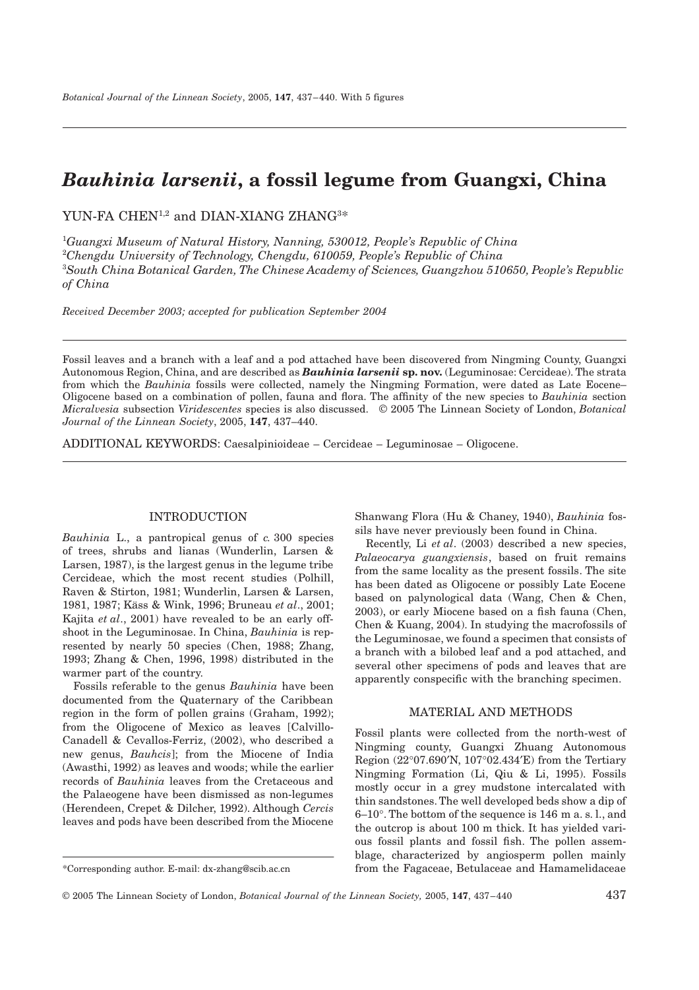# *Bauhinia larsenii***, a fossil legume from Guangxi, China**

YUN-FA  $\rm CHEN^{1,2}$  and DIAN-XIANG ZHANG $^{3\ast}$ 

 *Guangxi Museum of Natural History, Nanning, 530012, People's Republic of China Chengdu University of Technology, Chengdu, 610059, People's Republic of China South China Botanical Garden, The Chinese Academy of Sciences, Guangzhou 510650, People's Republic of China*

*Received December 2003; accepted for publication September 2004*

Fossil leaves and a branch with a leaf and a pod attached have been discovered from Ningming County, Guangxi Autonomous Region, China, and are described as *Bauhinia larsenii* **sp. nov.** (Leguminosae: Cercideae). The strata from which the *Bauhinia* fossils were collected, namely the Ningming Formation, were dated as Late Eocene– Oligocene based on a combination of pollen, fauna and flora. The affinity of the new species to *Bauhinia* section *Micralvesia* subsection *Viridescentes* species is also discussed. © 2005 The Linnean Society of London, *Botanical Journal of the Linnean Society*, 2005, **147**, 437–440.

ADDITIONAL KEYWORDS: Caesalpinioideae – Cercideae – Leguminosae – Oligocene.

### INTRODUCTION

*Bauhinia* L., a pantropical genus of *c.* 300 species of trees, shrubs and lianas (Wunderlin, Larsen & Larsen, 1987), is the largest genus in the legume tribe Cercideae, which the most recent studies (Polhill, Raven & Stirton, 1981; Wunderlin, Larsen & Larsen, 1981, 1987; Käss & Wink, 1996; Bruneau *et al*., 2001; Kajita *et al*., 2001) have revealed to be an early offshoot in the Leguminosae. In China, *Bauhinia* is represented by nearly 50 species (Chen, 1988; Zhang, 1993; Zhang & Chen, 1996, 1998) distributed in the warmer part of the country.

Fossils referable to the genus *Bauhinia* have been documented from the Quaternary of the Caribbean region in the form of pollen grains (Graham, 1992); from the Oligocene of Mexico as leaves [Calvillo-Canadell & Cevallos-Ferriz, (2002), who described a new genus, *Bauhcis*]; from the Miocene of India (Awasthi, 1992) as leaves and woods; while the earlier records of *Bauhinia* leaves from the Cretaceous and the Palaeogene have been dismissed as non-legumes (Herendeen, Crepet & Dilcher, 1992). Although *Cercis* leaves and pods have been described from the Miocene

Shanwang Flora (Hu & Chaney, 1940), *Bauhinia* fossils have never previously been found in China.

Recently, Li *et al*. (2003) described a new species, *Palaeocarya guangxiensis*, based on fruit remains from the same locality as the present fossils. The site has been dated as Oligocene or possibly Late Eocene based on palynological data (Wang, Chen & Chen, 2003), or early Miocene based on a fish fauna (Chen, Chen & Kuang, 2004). In studying the macrofossils of the Leguminosae, we found a specimen that consists of a branch with a bilobed leaf and a pod attached, and several other specimens of pods and leaves that are apparently conspecific with the branching specimen.

## MATERIAL AND METHODS

Fossil plants were collected from the north-west of Ningming county, Guangxi Zhuang Autonomous Region (22∞07.690¢N, 107∞02.434¢E) from the Tertiary Ningming Formation (Li, Qiu & Li, 1995). Fossils mostly occur in a grey mudstone intercalated with thin sandstones. The well developed beds show a dip of 6–10∞. The bottom of the sequence is 146 m a. s. l., and the outcrop is about 100 m thick. It has yielded various fossil plants and fossil fish. The pollen assemblage, characterized by angiosperm pollen mainly from the Fagaceae, Betulaceae and Hamamelidaceae

<sup>\*</sup>Corresponding author. E-mail: dx-zhang@scib.ac.cn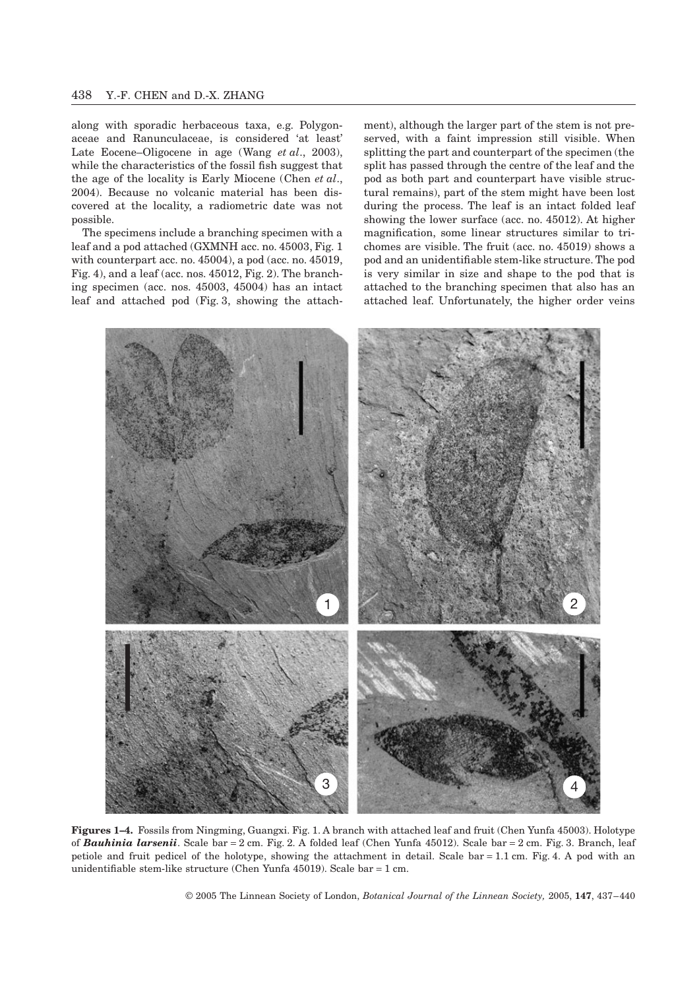along with sporadic herbaceous taxa, e.g. Polygonaceae and Ranunculaceae, is considered 'at least' Late Eocene–Oligocene in age (Wang *et al*., 2003), while the characteristics of the fossil fish suggest that the age of the locality is Early Miocene (Chen *et al*., 2004). Because no volcanic material has been discovered at the locality, a radiometric date was not possible.

The specimens include a branching specimen with a leaf and a pod attached (GXMNH acc. no. 45003, Fig. 1 with counterpart acc. no. 45004), a pod (acc. no. 45019, Fig. 4), and a leaf (acc. nos. 45012, Fig. 2). The branching specimen (acc. nos. 45003, 45004) has an intact leaf and attached pod (Fig. 3, showing the attachment), although the larger part of the stem is not preserved, with a faint impression still visible. When splitting the part and counterpart of the specimen (the split has passed through the centre of the leaf and the pod as both part and counterpart have visible structural remains), part of the stem might have been lost during the process. The leaf is an intact folded leaf showing the lower surface (acc. no. 45012). At higher magnification, some linear structures similar to trichomes are visible. The fruit (acc. no. 45019) shows a pod and an unidentifiable stem-like structure. The pod is very similar in size and shape to the pod that is attached to the branching specimen that also has an attached leaf. Unfortunately, the higher order veins



**Figures 1–4.** Fossils from Ningming, Guangxi. Fig. 1. A branch with attached leaf and fruit (Chen Yunfa 45003). Holotype of *Bauhinia larsenii*. Scale bar = 2 cm. Fig. 2. A folded leaf (Chen Yunfa 45012). Scale bar = 2 cm. Fig. 3. Branch, leaf petiole and fruit pedicel of the holotype, showing the attachment in detail. Scale bar  $= 1.1$  cm. Fig. 4. A pod with an unidentifiable stem-like structure (Chen Yunfa 45019). Scale bar = 1 cm.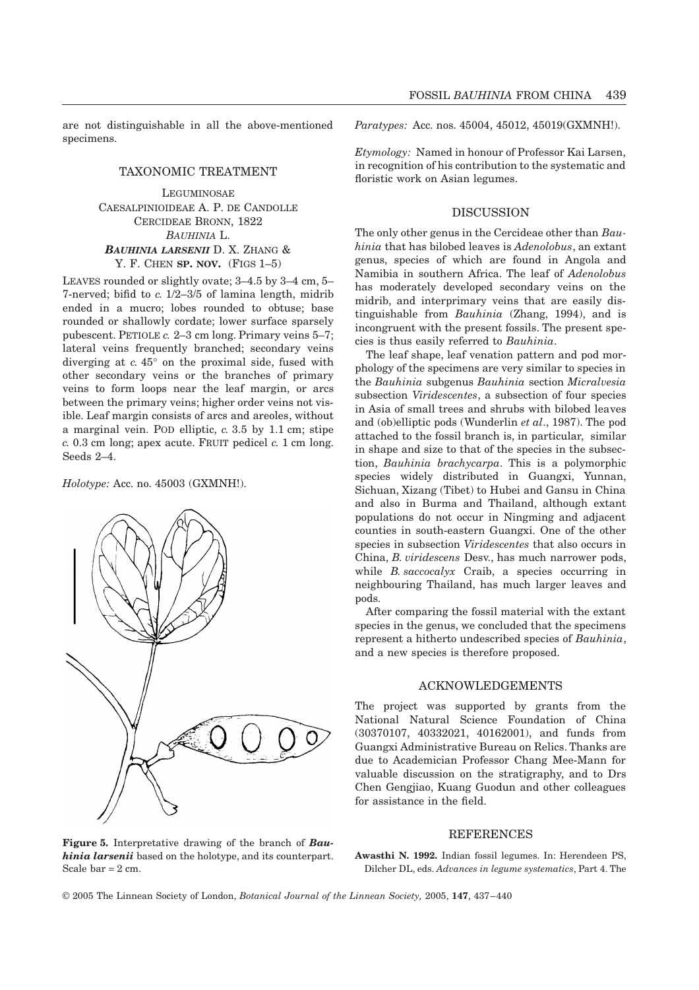are not distinguishable in all the above-mentioned specimens.

# TAXONOMIC TREATMENT

**LEGUMINOSAE** CAESALPINIOIDEAE A. P. DE CANDOLLE CERCIDEAE BRONN, 1822 *BAUHINIA* L. *BAUHINIA LARSENII* D. X. ZHANG & Y. F. CHEN **SP. NOV.** (FIGS 1–5)

LEAVES rounded or slightly ovate; 3–4.5 by 3–4 cm, 5– 7-nerved; bifid to *c.* 1/2–3/5 of lamina length, midrib ended in a mucro; lobes rounded to obtuse; base rounded or shallowly cordate; lower surface sparsely pubescent. PETIOLE *c.* 2–3 cm long. Primary veins 5–7; lateral veins frequently branched; secondary veins diverging at *c.* 45∞ on the proximal side, fused with other secondary veins or the branches of primary veins to form loops near the leaf margin, or arcs between the primary veins; higher order veins not visible. Leaf margin consists of arcs and areoles, without a marginal vein. POD elliptic, *c.* 3.5 by 1.1 cm; stipe *c.* 0.3 cm long; apex acute. FRUIT pedicel *c.* 1 cm long. Seeds 2–4.

*Holotype:* Acc. no. 45003 (GXMNH!).



*Paratypes:* Acc. nos. 45004, 45012, 45019(GXMNH!).

*Etymology:* Named in honour of Professor Kai Larsen, in recognition of his contribution to the systematic and floristic work on Asian legumes.

## DISCUSSION

The only other genus in the Cercideae other than *Bauhinia* that has bilobed leaves is *Adenolobus*, an extant genus, species of which are found in Angola and Namibia in southern Africa. The leaf of *Adenolobus* has moderately developed secondary veins on the midrib, and interprimary veins that are easily distinguishable from *Bauhinia* (Zhang, 1994), and is incongruent with the present fossils. The present species is thus easily referred to *Bauhinia*.

The leaf shape, leaf venation pattern and pod morphology of the specimens are very similar to species in the *Bauhinia* subgenus *Bauhinia* section *Micralvesia* subsection *Viridescentes*, a subsection of four species in Asia of small trees and shrubs with bilobed leaves and (ob)elliptic pods (Wunderlin *et al*., 1987). The pod attached to the fossil branch is, in particular, similar in shape and size to that of the species in the subsection, *Bauhinia brachycarpa*. This is a polymorphic species widely distributed in Guangxi, Yunnan, Sichuan, Xizang (Tibet) to Hubei and Gansu in China and also in Burma and Thailand, although extant populations do not occur in Ningming and adjacent counties in south-eastern Guangxi. One of the other species in subsection *Viridescentes* that also occurs in China, *B. viridescens* Desv., has much narrower pods, while *B. saccocalyx* Craib, a species occurring in neighbouring Thailand, has much larger leaves and pods.

After comparing the fossil material with the extant species in the genus, we concluded that the specimens represent a hitherto undescribed species of *Bauhinia*, and a new species is therefore proposed.

## ACKNOWLEDGEMENTS

The project was supported by grants from the National Natural Science Foundation of China (30370107, 40332021, 40162001), and funds from Guangxi Administrative Bureau on Relics. Thanks are due to Academician Professor Chang Mee-Mann for valuable discussion on the stratigraphy, and to Drs Chen Gengjiao, Kuang Guodun and other colleagues for assistance in the field.

#### REFERENCES

**Figure 5.** Interpretative drawing of the branch of *Bauhinia larsenii* based on the holotype, and its counterpart. Scale  $bar = 2$  cm.

**Awasthi N. 1992.** Indian fossil legumes. In: Herendeen PS, Dilcher DL, eds. *Advances in legume systematics*, Part 4. The